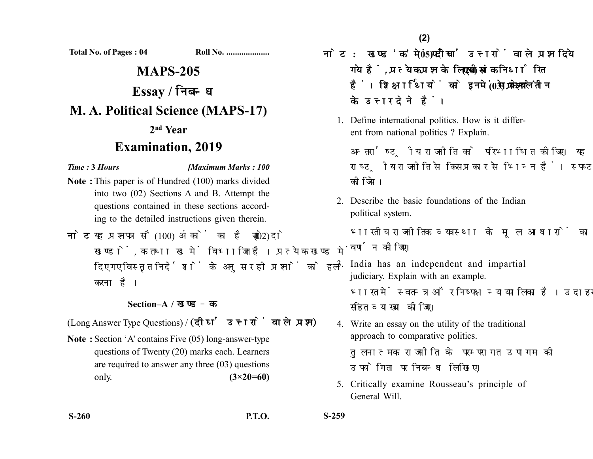**Total No. of Pages : 04 Roll No. ....................**

# **MAPS-205 Essay / M. A. Political Science (MAPS-17) 2nd Year**

# **Examination, 2019**

*Time :* **3** *Hours [Maximum Marks : 100*

- **Note :** This paper is of Hundred (100) marks divided into two (02) Sections A and B. Attempt the questions contained in these sections according to the detailed instructions given therein.
- नोट: यह प्रश्नपत्र सौ (100) अंकों का है जो दो (02) खण्डों. क तथा ख में विभाजित है। प्रत्येक खण्ड में दिए गए विस्तृत निर्देशों के अनुसार ही प्रश्नों को हल करना है।

## **Section–A /**

(Long Answer Type Questions) / (दीर्घ उत्तरों वाले प्रश्न)

**Note :** Section 'A' contains Five (05) long-answer-type questions of Twenty (20) marks each. Learners are required to answer any three (03) questions only. **(3×20=60)** 

नोट: खण्ड'क'में पाँच (05) दीर्घ उत्तरों वाले प्रश्न दिये गये हैं, प्रत्येक प्रश्न के लिए बीस (20) अंक निर्धारित हैं। शिक्षार्थियों को इनमें से केवल तीन (03) प्रश्नों के उत्तर देने हैं।

1. Define international politics. How is it different from national politics ? Explain.

अन्तर्राष्टीय राजनीति को परिभाषित कीजिए। यह राष्टीय राजनीति से किस प्रकार से भिन्न हैं। स्पष्ट कोजिये।

2. Describe the basic foundations of the Indian political system.

भारतीय राजनीतिक व्यवस्था के मल आधारों का वर्णन कोजिए।

- 3. India has an independent and impartial judiciary. Explain with an example. भारत में स्वतन्त्र और निष्पक्ष न्यायपालिका है। उदाहरण सहित व्याख्या कीजिए।
- 4. Write an essay on the utility of the traditional approach to comparative politics. तलनात्मक राजनीति के परम्परागत उपागम की उपयोगिता पर निबन्ध लिखिए।
- 5. Critically examine Rousseau's principle of General Will.